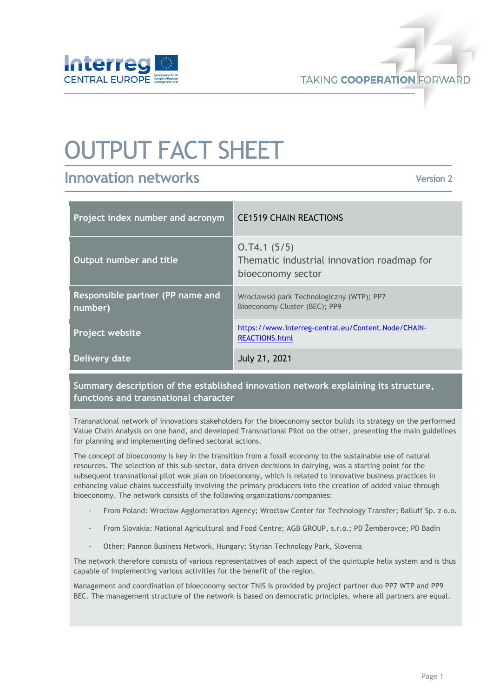

**TAKING COOPERATION FORWARD** 

# OUTPUT FACT SHEET

# **Innovation networks**

**Version 2** 

| Project index number and acronym            | <b>CE1519 CHAIN REACTIONS</b>                                                  |
|---------------------------------------------|--------------------------------------------------------------------------------|
| Output number and title                     | 0.74.1(5/5)<br>Thematic industrial innovation roadmap for<br>bioeconomy sector |
| Responsible partner (PP name and<br>number) | Wroclawski park Technologiczny (WTP); PP7<br>Bioeconomy Cluster (BEC); PP9     |
| <b>Project website</b>                      | https://www.interreg-central.eu/Content.Node/CHAIN-<br><b>REACTIONS.html</b>   |
| Delivery date                               | <b>July 21, 2021</b>                                                           |

# **Summary description of the established innovation network explaining its structure, functions and transnational character**

Transnational network of innovations stakeholders for the bioeconomy sector builds its strategy on the performed Value Chain Analysis on one hand, and developed Transnational Pilot on the other, presenting the main guidelines for planning and implementing defined sectoral actions.

The concept of bioeconomy is key in the transition from a fossil economy to the sustainable use of natural resources. The selection of this sub-sector, data driven decisions in dairying, was a starting point for the subsequent transnational pilot wok plan on bioeconomy, which is related to innovative business practices in enhancing value chains successfully involving the primary producers into the creation of added value through bioeconomy. The network consists of the following organizations/companies:

- From Poland: Wrocław Agglomeration Agency; Wrocław Center for Technology Transfer; Balluff Sp. z o.o.
- From Slovakia: National Agricultural and Food Centre; AGB GROUP, s.r.o.; PD Žemberovce; PD Badín
- Other: Pannon Business Network, Hungary; Styrian Technology Park, Slovenia

The network therefore consists of various representatives of each aspect of the quintuple helix system and is thus capable of implementing various activities for the benefit of the region.

Management and coordination of bioeconomy sector TNIS is provided by project partner duo PP7 WTP and PP9 BEC. The management structure of the network is based on democratic principles, where all partners are equal.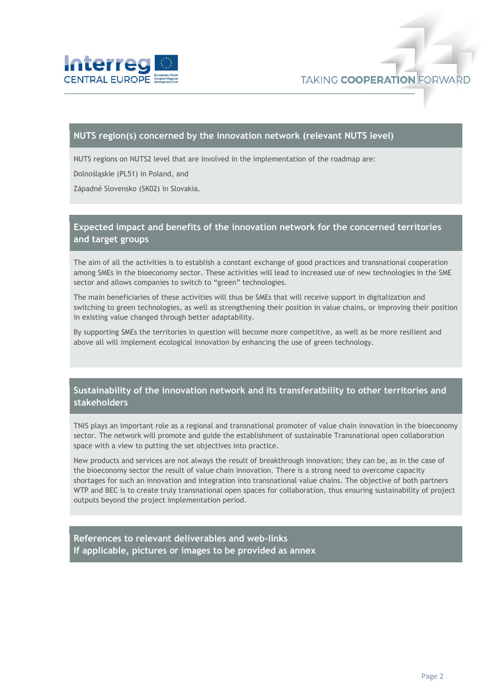

#### **NUTS region(s) concerned by the innovation network (relevant NUTS level)**

NUTS regions on NUTS2 level that are involved in the implementation of the roadmap are:

Dolnośląskie (PL51) in Poland, and

Západné Slovensko (SK02) in Slovakia.

## **Expected impact and benefits of the innovation network for the concerned territories and target groups**

The aim of all the activities is to establish a constant exchange of good practices and transnational cooperation among SMEs in the bioeconomy sector. These activities will lead to increased use of new technologies in the SME sector and allows companies to switch to "green" technologies.

The main beneficiaries of these activities will thus be SMEs that will receive support in digitalization and switching to green technologies, as well as strengthening their position in value chains, or improving their position in existing value changed through better adaptability.

By supporting SMEs the territories in question will become more competitive, as well as be more resilient and above all will implement ecological innovation by enhancing the use of green technology.

### **Sustainability of the innovation network and its transferatbility to other territories and stakeholders**

TNIS plays an important role as a regional and transnational promoter of value chain innovation in the bioeconomy sector. The network will promote and guide the establishment of sustainable Transnational open collaboration space with a view to putting the set objectives into practice.

New products and services are not always the result of breakthrough innovation; they can be, as in the case of the bioeconomy sector the result of value chain innovation. There is a strong need to overcome capacity shortages for such an innovation and integration into transnational value chains. The objective of both partners WTP and BEC is to create truly transnational open spaces for collaboration, thus ensuring sustainability of project outputs beyond the project implementation period.

**References to relevant deliverables and web-links If applicable, pictures or images to be provided as annex**